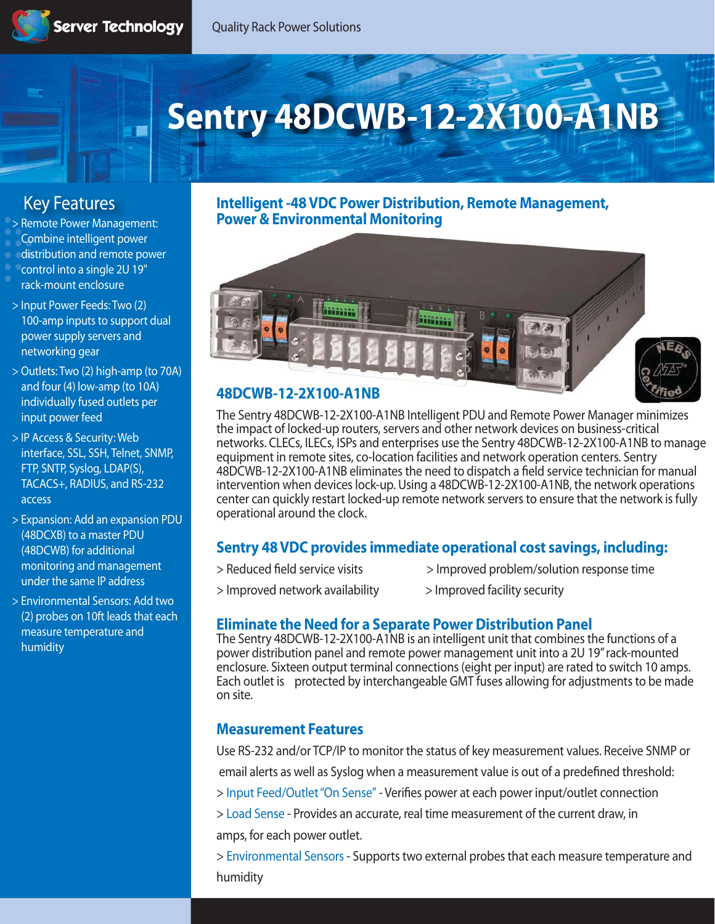# **Sentry 48DCWB-12-2X100-A1NB**

# **Key Features**

> Remote Power Management: Combine intelligent power distribution and remote power control into a single 2U 19" rack-mount enclosure

- > Input Power Feeds: Two (2) 100-amp inputs to support dual power supply servers and networking gear
- > Outlets: Two (2) high-amp (to 70A) and four (4) low-amp (to 10A) individually fused outlets per input power feed
- > IP Access & Security: Web interface, SSL, SSH, Telnet, SNMP, FTP, SNTP, Syslog, LDAP(S), TACACS+, RADIUS, and RS-232 access
- > Expansion: Add an expansion PDU (48DCXB) to a master PDU (48DCWB) for additional monitoring and management under the same IP address
- > Environmental Sensors: Add two (2) probes on 10ft leads that each measure temperature and humidity

**Intelligent -48 VDC Power Distribution, Remote Management, Power & Environmental Monitoring**



## **48DCWB-12-2X100-A1NB**

The Sentry 48DCWB-12-2X100-A1NB Intelligent PDU and Remote Power Manager minimizes the impact of locked-up routers, servers and other network devices on business-critical networks. CLECs, ILECs, ISPs and enterprises use the Sentry 48DCWB-12-2X100-A1NB to manage equipment in remote sites, co-location facilities and network operation centers. Sentry 48DCWB-12-2X100-A1NB eliminates the need to dispatch a field service technician for manual intervention when devices lock-up. Using a 48DCWB-12-2X100-A1NB, the network operations center can quickly restart locked-up remote network servers to ensure that the network is fully operational around the clock.

## **Sentry 48 VDC provides immediate operational cost savings, including:**

- > Reduced field service visits > Improved problem/solution response time
- > Improved network availability > Improved facility security
- 

## **Eliminate the Need for a Separate Power Distribution Panel**

The Sentry 48DCWB-12-2X100-A1NB is an intelligent unit that combines the functions of a power distribution panel and remote power management unit into a 2U 19" rack-mounted enclosure. Sixteen output terminal connections (eight per input) are rated to switch 10 amps. Each outlet is protected by interchangeable GMT fuses allowing for adjustments to be made on site.

## **Measurement Features**

Use RS-232 and/or TCP/IP to monitor the status of key measurement values. Receive SNMP or email alerts as well as Syslog when a measurement value is out of a predefined threshold: > **Input Feed/Outlet "On Sense"** - Verifies power at each power input/outlet connection > **Load Sense** - Provides an accurate, real time measurement of the current draw, in amps, for each power outlet.

> **Environmental Sensors** - Supports two external probes that each measure temperature and humidity